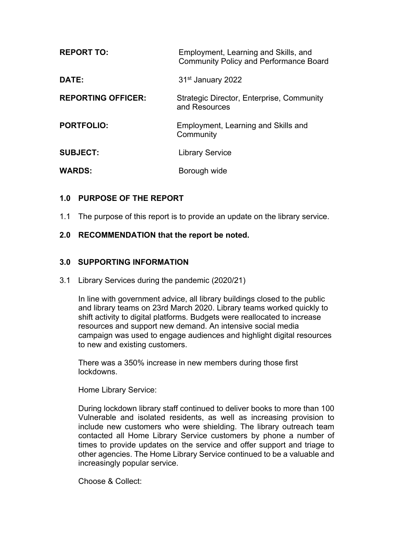| <b>REPORT TO:</b>         | Employment, Learning and Skills, and<br><b>Community Policy and Performance Board</b> |
|---------------------------|---------------------------------------------------------------------------------------|
| DATE:                     | 31 <sup>st</sup> January 2022                                                         |
| <b>REPORTING OFFICER:</b> | Strategic Director, Enterprise, Community<br>and Resources                            |
| <b>PORTFOLIO:</b>         | Employment, Learning and Skills and<br>Community                                      |
| <b>SUBJECT:</b>           | <b>Library Service</b>                                                                |
| <b>WARDS:</b>             | Borough wide                                                                          |

# **1.0 PURPOSE OF THE REPORT**

1.1 The purpose of this report is to provide an update on the library service.

## **2.0 RECOMMENDATION that the report be noted.**

#### **3.0 SUPPORTING INFORMATION**

3.1 Library Services during the pandemic (2020/21)

In line with government advice, all library buildings closed to the public and library teams on 23rd March 2020. Library teams worked quickly to shift activity to digital platforms. Budgets were reallocated to increase resources and support new demand. An intensive social media campaign was used to engage audiences and highlight digital resources to new and existing customers.

There was a 350% increase in new members during those first lockdowns.

Home Library Service:

During lockdown library staff continued to deliver books to more than 100 Vulnerable and isolated residents, as well as increasing provision to include new customers who were shielding. The library outreach team contacted all Home Library Service customers by phone a number of times to provide updates on the service and offer support and triage to other agencies. The Home Library Service continued to be a valuable and increasingly popular service.

Choose & Collect: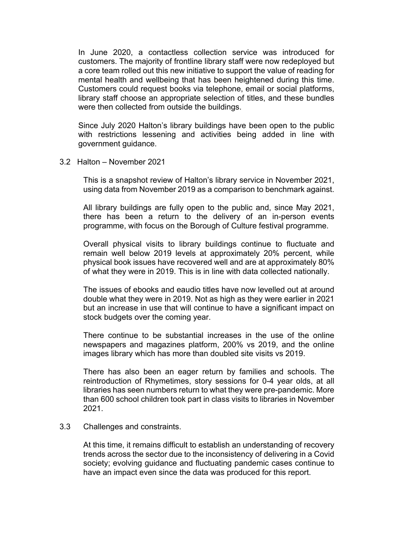In June 2020, a contactless collection service was introduced for customers. The majority of frontline library staff were now redeployed but a core team rolled out this new initiative to support the value of reading for mental health and wellbeing that has been heightened during this time. Customers could request books via telephone, email or social platforms, library staff choose an appropriate selection of titles, and these bundles were then collected from outside the buildings.

Since July 2020 Halton's library buildings have been open to the public with restrictions lessening and activities being added in line with government guidance.

3.2 Halton – November 2021

This is a snapshot review of Halton's library service in November 2021, using data from November 2019 as a comparison to benchmark against.

All library buildings are fully open to the public and, since May 2021, there has been a return to the delivery of an in-person events programme, with focus on the Borough of Culture festival programme.

Overall physical visits to library buildings continue to fluctuate and remain well below 2019 levels at approximately 20% percent, while physical book issues have recovered well and are at approximately 80% of what they were in 2019. This is in line with data collected nationally.

The issues of ebooks and eaudio titles have now levelled out at around double what they were in 2019. Not as high as they were earlier in 2021 but an increase in use that will continue to have a significant impact on stock budgets over the coming year.

There continue to be substantial increases in the use of the online newspapers and magazines platform, 200% vs 2019, and the online images library which has more than doubled site visits vs 2019.

There has also been an eager return by families and schools. The reintroduction of Rhymetimes, story sessions for 0-4 year olds, at all libraries has seen numbers return to what they were pre-pandemic. More than 600 school children took part in class visits to libraries in November 2021.

#### 3.3 Challenges and constraints.

At this time, it remains difficult to establish an understanding of recovery trends across the sector due to the inconsistency of delivering in a Covid society; evolving guidance and fluctuating pandemic cases continue to have an impact even since the data was produced for this report.